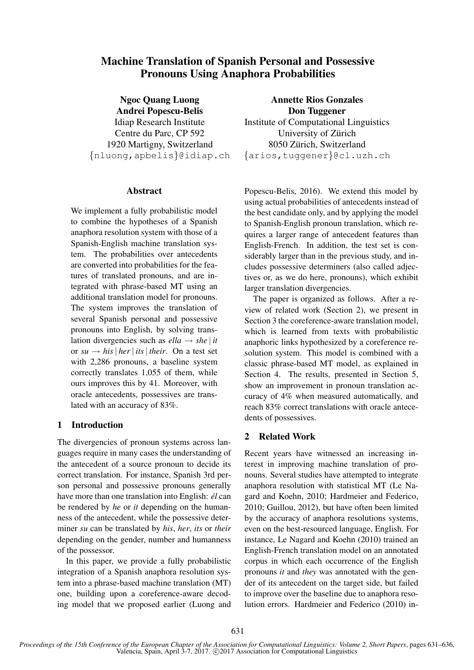# Machine Translation of Spanish Personal and Possessive Pronouns Using Anaphora Probabilities

Ngoc Quang Luong Andrei Popescu-Belis Idiap Research Institute Centre du Parc, CP 592 1920 Martigny, Switzerland {nluong,apbelis}@idiap.ch

## Abstract

We implement a fully probabilistic model to combine the hypotheses of a Spanish anaphora resolution system with those of a Spanish-English machine translation system. The probabilities over antecedents are converted into probabilities for the features of translated pronouns, and are integrated with phrase-based MT using an additional translation model for pronouns. The system improves the translation of several Spanish personal and possessive pronouns into English, by solving translation divergencies such as  $ella \rightarrow she$  | *it* or  $su \rightarrow his$  | *her* | *its* | *their*. On a test set with 2,286 pronouns, a baseline system correctly translates 1,055 of them, while ours improves this by 41. Moreover, with oracle antecedents, possessives are translated with an accuracy of 83%.

## 1 Introduction

The divergencies of pronoun systems across languages require in many cases the understanding of the antecedent of a source pronoun to decide its correct translation. For instance, Spanish 3rd person personal and possessive pronouns generally have more than one translation into English: *él* can be rendered by *he* or *it* depending on the humanness of the antecedent, while the possessive determiner *su* can be translated by *his*, *her*, *its* or *their* depending on the gender, number and humanness of the possessor.

In this paper, we provide a fully probabilistic integration of a Spanish anaphora resolution system into a phrase-based machine translation (MT) one, building upon a coreference-aware decoding model that we proposed earlier (Luong and

Annette Rios Gonzales Don Tuggener Institute of Computational Linguistics University of Zürich 8050 Zürich, Switzerland {arios,tuggener}@cl.uzh.ch

Popescu-Belis, 2016). We extend this model by using actual probabilities of antecedents instead of the best candidate only, and by applying the model to Spanish-English pronoun translation, which requires a larger range of antecedent features than English-French. In addition, the test set is considerably larger than in the previous study, and includes possessive determiners (also called adjectives or, as we do here, pronouns), which exhibit larger translation divergencies.

The paper is organized as follows. After a review of related work (Section 2), we present in Section 3 the coreference-aware translation model, which is learned from texts with probabilistic anaphoric links hypothesized by a coreference resolution system. This model is combined with a classic phrase-based MT model, as explained in Section 4. The results, presented in Section 5, show an improvement in pronoun translation accuracy of 4% when measured automatically, and reach 83% correct translations with oracle antecedents of possessives.

## 2 Related Work

Recent years have witnessed an increasing interest in improving machine translation of pronouns. Several studies have attempted to integrate anaphora resolution with statistical MT (Le Nagard and Koehn, 2010; Hardmeier and Federico, 2010; Guillou, 2012), but have often been limited by the accuracy of anaphora resolutions systems, even on the best-resourced language, English. For instance, Le Nagard and Koehn (2010) trained an English-French translation model on an annotated corpus in which each occurrence of the English pronouns *it* and *they* was annotated with the gender of its antecedent on the target side, but failed to improve over the baseline due to anaphora resolution errors. Hardmeier and Federico (2010) in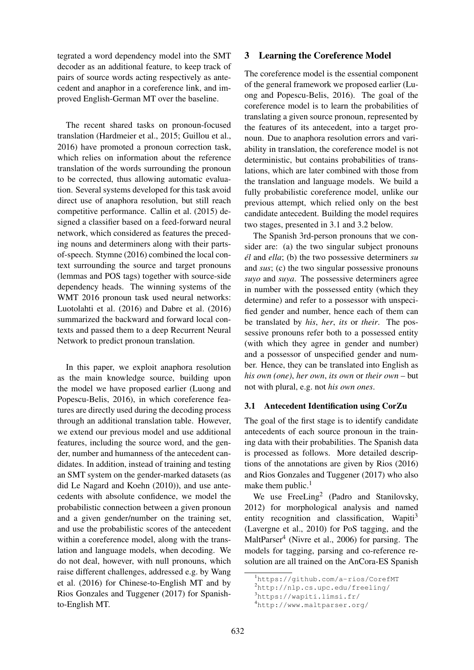tegrated a word dependency model into the SMT decoder as an additional feature, to keep track of pairs of source words acting respectively as antecedent and anaphor in a coreference link, and improved English-German MT over the baseline.

The recent shared tasks on pronoun-focused translation (Hardmeier et al., 2015; Guillou et al., 2016) have promoted a pronoun correction task, which relies on information about the reference translation of the words surrounding the pronoun to be corrected, thus allowing automatic evaluation. Several systems developed for this task avoid direct use of anaphora resolution, but still reach competitive performance. Callin et al. (2015) designed a classifier based on a feed-forward neural network, which considered as features the preceding nouns and determiners along with their partsof-speech. Stymne (2016) combined the local context surrounding the source and target pronouns (lemmas and POS tags) together with source-side dependency heads. The winning systems of the WMT 2016 pronoun task used neural networks: Luotolahti et al. (2016) and Dabre et al. (2016) summarized the backward and forward local contexts and passed them to a deep Recurrent Neural Network to predict pronoun translation.

In this paper, we exploit anaphora resolution as the main knowledge source, building upon the model we have proposed earlier (Luong and Popescu-Belis, 2016), in which coreference features are directly used during the decoding process through an additional translation table. However, we extend our previous model and use additional features, including the source word, and the gender, number and humanness of the antecedent candidates. In addition, instead of training and testing an SMT system on the gender-marked datasets (as did Le Nagard and Koehn (2010)), and use antecedents with absolute confidence, we model the probabilistic connection between a given pronoun and a given gender/number on the training set, and use the probabilistic scores of the antecedent within a coreference model, along with the translation and language models, when decoding. We do not deal, however, with null pronouns, which raise different challenges, addressed e.g. by Wang et al. (2016) for Chinese-to-English MT and by Rios Gonzales and Tuggener (2017) for Spanishto-English MT.

### 3 Learning the Coreference Model

The coreference model is the essential component of the general framework we proposed earlier (Luong and Popescu-Belis, 2016). The goal of the coreference model is to learn the probabilities of translating a given source pronoun, represented by the features of its antecedent, into a target pronoun. Due to anaphora resolution errors and variability in translation, the coreference model is not deterministic, but contains probabilities of translations, which are later combined with those from the translation and language models. We build a fully probabilistic coreference model, unlike our previous attempt, which relied only on the best candidate antecedent. Building the model requires two stages, presented in 3.1 and 3.2 below.

The Spanish 3rd-person pronouns that we consider are: (a) the two singular subject pronouns *el´* and *ella*; (b) the two possessive determiners *su* and *sus*; (c) the two singular possessive pronouns *suyo* and *suya*. The possessive determiners agree in number with the possessed entity (which they determine) and refer to a possessor with unspecified gender and number, hence each of them can be translated by *his*, *her*, *its* or *their*. The possessive pronouns refer both to a possessed entity (with which they agree in gender and number) and a possessor of unspecified gender and number. Hence, they can be translated into English as *his own (one)*, *her own*, *its own* or *their own* – but not with plural, e.g. not *his own ones*.

### 3.1 Antecedent Identification using CorZu

The goal of the first stage is to identify candidate antecedents of each source pronoun in the training data with their probabilities. The Spanish data is processed as follows. More detailed descriptions of the annotations are given by Rios (2016) and Rios Gonzales and Tuggener (2017) who also make them public. $<sup>1</sup>$ </sup>

We use FreeLing<sup>2</sup> (Padro and Stanilovsky, 2012) for morphological analysis and named entity recognition and classification, Wapiti<sup>3</sup> (Lavergne et al., 2010) for PoS tagging, and the MaltParser<sup>4</sup> (Nivre et al., 2006) for parsing. The models for tagging, parsing and co-reference resolution are all trained on the AnCora-ES Spanish

<sup>1</sup>https://github.com/a-rios/CorefMT

<sup>2</sup>http://nlp.cs.upc.edu/freeling/

<sup>3</sup>https://wapiti.limsi.fr/

<sup>4</sup>http://www.maltparser.org/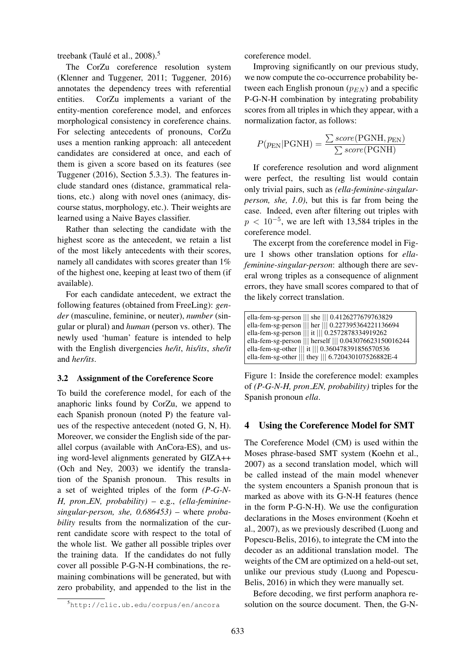treebank (Taulé et al., 2008).<sup>5</sup>

The CorZu coreference resolution system (Klenner and Tuggener, 2011; Tuggener, 2016) annotates the dependency trees with referential entities. CorZu implements a variant of the entity-mention coreference model, and enforces morphological consistency in coreference chains. For selecting antecedents of pronouns, CorZu uses a mention ranking approach: all antecedent candidates are considered at once, and each of them is given a score based on its features (see Tuggener (2016), Section 5.3.3). The features include standard ones (distance, grammatical relations, etc.) along with novel ones (animacy, discourse status, morphology, etc.). Their weights are learned using a Naive Bayes classifier.

Rather than selecting the candidate with the highest score as the antecedent, we retain a list of the most likely antecedents with their scores, namely all candidates with scores greater than  $1\%$ of the highest one, keeping at least two of them (if available).

For each candidate antecedent, we extract the following features (obtained from FreeLing): *gender* (masculine, feminine, or neuter), *number* (singular or plural) and *human* (person vs. other). The newly used 'human' feature is intended to help with the English divergencies *he/it*, *his/its*, *she/it* and *her/its*.

#### 3.2 Assignment of the Coreference Score

To build the coreference model, for each of the anaphoric links found by CorZu, we append to each Spanish pronoun (noted P) the feature values of the respective antecedent (noted G, N, H). Moreover, we consider the English side of the parallel corpus (available with AnCora-ES), and using word-level alignments generated by GIZA++ (Och and Ney, 2003) we identify the translation of the Spanish pronoun. This results in a set of weighted triples of the form *(P-G-N-H, pron EN, probability)* – e.g., *(ella-femininesingular-person, she, 0.686453)* – where *probability* results from the normalization of the current candidate score with respect to the total of the whole list. We gather all possible triples over the training data. If the candidates do not fully cover all possible P-G-N-H combinations, the remaining combinations will be generated, but with zero probability, and appended to the list in the coreference model.

Improving significantly on our previous study, we now compute the co-occurrence probability between each English pronoun  $(p_{EN})$  and a specific P-G-N-H combination by integrating probability scores from all triples in which they appear, with a normalization factor, as follows:

$$
P(p_{\text{EN}}|\text{PGNH}) = \frac{\sum score(\text{PGNH}, p_{\text{EN}})}{\sum score(\text{PGNH})}
$$

If coreference resolution and word alignment were perfect, the resulting list would contain only trivial pairs, such as *(ella-feminine-singularperson, she, 1.0)*, but this is far from being the case. Indeed, even after filtering out triples with  $p < 10^{-5}$ , we are left with 13,584 triples in the coreference model.

The excerpt from the coreference model in Figure 1 shows other translation options for *ellafeminine-singular-person*: although there are several wrong triples as a consequence of alignment errors, they have small scores compared to that of the likely correct translation.

Figure 1: Inside the coreference model: examples of *(P-G-N-H, pron EN, probability)* triples for the Spanish pronoun *ella*.

### 4 Using the Coreference Model for SMT

The Coreference Model (CM) is used within the Moses phrase-based SMT system (Koehn et al., 2007) as a second translation model, which will be called instead of the main model whenever the system encounters a Spanish pronoun that is marked as above with its G-N-H features (hence in the form P-G-N-H). We use the configuration declarations in the Moses environment (Koehn et al., 2007), as we previously described (Luong and Popescu-Belis, 2016), to integrate the CM into the decoder as an additional translation model. The weights of the CM are optimized on a held-out set, unlike our previous study (Luong and Popescu-Belis, 2016) in which they were manually set.

Before decoding, we first perform anaphora resolution on the source document. Then, the G-N-

<sup>5</sup>http://clic.ub.edu/corpus/en/ancora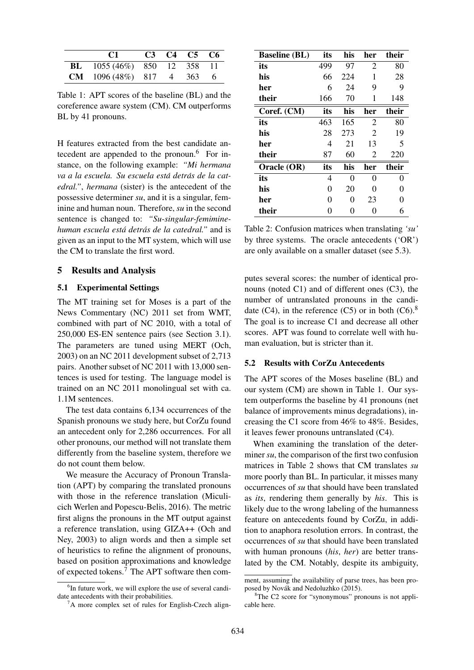| C1 and the contract of the contract of the contract of the contract of the contract of the contract of the contract of the contract of the contract of the contract of the contract of the contract of the contract of the con |  | $C3 \tC4 \tC5 \tC6$ |  |
|--------------------------------------------------------------------------------------------------------------------------------------------------------------------------------------------------------------------------------|--|---------------------|--|
| <b>BL</b> $1055(46\%)$ 850 12 358 11                                                                                                                                                                                           |  |                     |  |
| <b>CM</b> $1096(48%)$ 817 4 363 6                                                                                                                                                                                              |  |                     |  |

Table 1: APT scores of the baseline (BL) and the coreference aware system (CM). CM outperforms BL by 41 pronouns.

H features extracted from the best candidate antecedent are appended to the pronoun.<sup>6</sup> For instance, on the following example: *"Mi hermana va a la escuela. Su escuela está detrás de la catedral."*, *hermana* (sister) is the antecedent of the possessive determiner *su*, and it is a singular, feminine and human noun. Therefore, *su* in the second sentence is changed to: *"Su-singular-femiminehuman escuela esta detr ´ as de la catedral." ´* and is given as an input to the MT system, which will use the CM to translate the first word.

## 5 Results and Analysis

#### 5.1 Experimental Settings

The MT training set for Moses is a part of the News Commentary (NC) 2011 set from WMT, combined with part of NC 2010, with a total of 250,000 ES-EN sentence pairs (see Section 3.1). The parameters are tuned using MERT (Och, 2003) on an NC 2011 development subset of 2,713 pairs. Another subset of NC 2011 with 13,000 sentences is used for testing. The language model is trained on an NC 2011 monolingual set with ca. 1.1M sentences.

The test data contains 6,134 occurrences of the Spanish pronouns we study here, but CorZu found an antecedent only for 2,286 occurrences. For all other pronouns, our method will not translate them differently from the baseline system, therefore we do not count them below.

We measure the Accuracy of Pronoun Translation (APT) by comparing the translated pronouns with those in the reference translation (Miculicich Werlen and Popescu-Belis, 2016). The metric first aligns the pronouns in the MT output against a reference translation, using GIZA++ (Och and Ney, 2003) to align words and then a simple set of heuristics to refine the alignment of pronouns, based on position approximations and knowledge of expected tokens.<sup>7</sup> The APT software then com-

| <b>Baseline (BL)</b> | its | his | her            | their |
|----------------------|-----|-----|----------------|-------|
| its                  | 499 | 97  | $\overline{c}$ | 80    |
| his                  | 66  | 224 | 1              | 28    |
| her                  | 6   | 24  | 9              | 9     |
| their                | 166 | 70  | 1              | 148   |
| Coref. (CM)          | its | his | her            | their |
| its                  | 463 | 165 | $\overline{2}$ | 80    |
| his                  | 28  | 273 | $\overline{c}$ | 19    |
| her                  | 4   | 21  | 13             | 5     |
| their                | 87  | 60  | 2              | 220   |
| Oracle (OR)          | its | his | her            | their |
| its                  | 4   | 0   | 0              | 0     |
| his                  | 0   | 20  | 0              | Ω     |
| her                  | 0   | 0   | 23             |       |
| their                |     | 0   | 0              | 6     |

Table 2: Confusion matrices when translating *'su'* by three systems. The oracle antecedents ('OR') are only available on a smaller dataset (see 5.3).

putes several scores: the number of identical pronouns (noted C1) and of different ones (C3), the number of untranslated pronouns in the candidate  $(C4)$ , in the reference  $(C5)$  or in both  $(C6)$ .<sup>8</sup> The goal is to increase C1 and decrease all other scores. APT was found to correlate well with human evaluation, but is stricter than it.

## 5.2 Results with CorZu Antecedents

The APT scores of the Moses baseline (BL) and our system (CM) are shown in Table 1. Our system outperforms the baseline by 41 pronouns (net balance of improvements minus degradations), increasing the C1 score from 46% to 48%. Besides, it leaves fewer pronouns untranslated (C4).

When examining the translation of the determiner *su*, the comparison of the first two confusion matrices in Table 2 shows that CM translates *su* more poorly than BL. In particular, it misses many occurrences of *su* that should have been translated as *its*, rendering them generally by *his*. This is likely due to the wrong labeling of the humanness feature on antecedents found by CorZu, in addition to anaphora resolution errors. In contrast, the occurrences of *su* that should have been translated with human pronouns (*his*, *her*) are better translated by the CM. Notably, despite its ambiguity,

<sup>&</sup>lt;sup>6</sup>In future work, we will explore the use of several candidate antecedents with their probabilities.

<sup>7</sup>A more complex set of rules for English-Czech align-

ment, assuming the availability of parse trees, has been proposed by Novák and Nedoluzhko (2015).

<sup>&</sup>lt;sup>8</sup>The C2 score for "synonymous" pronouns is not applicable here.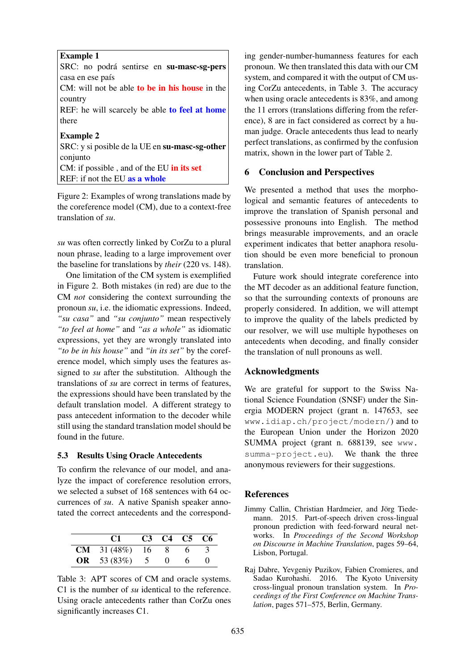## Example 1

SRC: no podrá sentirse en su-masc-sg-pers casa en ese país

CM: will not be able to be in his house in the country

REF: he will scarcely be able to feel at home there

## Example 2

SRC: y si posible de la UE en su-masc-sg-other conjunto CM: if possible, and of the EU in its set REF: if not the EU as a whole

Figure 2: Examples of wrong translations made by the coreference model (CM), due to a context-free translation of *su*.

*su* was often correctly linked by CorZu to a plural noun phrase, leading to a large improvement over the baseline for translations by *their* (220 vs. 148).

One limitation of the CM system is exemplified in Figure 2. Both mistakes (in red) are due to the CM *not* considering the context surrounding the pronoun *su*, i.e. the idiomatic expressions. Indeed, *"su casa"* and *"su conjunto"* mean respectively *"to feel at home"* and *"as a whole"* as idiomatic expressions, yet they are wrongly translated into *"to be in his house"* and *"in its set"* by the coreference model, which simply uses the features assigned to *su* after the substitution. Although the translations of *su* are correct in terms of features, the expressions should have been translated by the default translation model. A different strategy to pass antecedent information to the decoder while still using the standard translation model should be found in the future.

#### 5.3 Results Using Oracle Antecedents

To confirm the relevance of our model, and analyze the impact of coreference resolution errors, we selected a subset of 168 sentences with 64 occurrences of *su*. A native Spanish speaker annotated the correct antecedents and the correspond-

| C1                     | C3 C4 C5 C6 |    |  |
|------------------------|-------------|----|--|
| <b>CM</b> $31(48%)$ 16 |             | 6. |  |
| <b>OR</b> 53 (83%) 5   | $^{\circ}$  | 6. |  |

Table 3: APT scores of CM and oracle systems. C1 is the number of *su* identical to the reference. Using oracle antecedents rather than CorZu ones significantly increases C1.

ing gender-number-humanness features for each pronoun. We then translated this data with our CM system, and compared it with the output of CM using CorZu antecedents, in Table 3. The accuracy when using oracle antecedents is 83%, and among the 11 errors (translations differing from the reference), 8 are in fact considered as correct by a human judge. Oracle antecedents thus lead to nearly perfect translations, as confirmed by the confusion matrix, shown in the lower part of Table 2.

## 6 Conclusion and Perspectives

We presented a method that uses the morphological and semantic features of antecedents to improve the translation of Spanish personal and possessive pronouns into English. The method brings measurable improvements, and an oracle experiment indicates that better anaphora resolution should be even more beneficial to pronoun translation.

Future work should integrate coreference into the MT decoder as an additional feature function, so that the surrounding contexts of pronouns are properly considered. In addition, we will attempt to improve the quality of the labels predicted by our resolver, we will use multiple hypotheses on antecedents when decoding, and finally consider the translation of null pronouns as well.

## Acknowledgments

We are grateful for support to the Swiss National Science Foundation (SNSF) under the Sinergia MODERN project (grant n. 147653, see www.idiap.ch/project/modern/) and to the European Union under the Horizon 2020 SUMMA project (grant n. 688139, see www. summa-project.eu). We thank the three anonymous reviewers for their suggestions.

## References

- Jimmy Callin, Christian Hardmeier, and Jörg Tiedemann. 2015. Part-of-speech driven cross-lingual pronoun prediction with feed-forward neural networks. In *Proceedings of the Second Workshop on Discourse in Machine Translation*, pages 59–64, Lisbon, Portugal.
- Raj Dabre, Yevgeniy Puzikov, Fabien Cromieres, and Sadao Kurohashi. 2016. The Kyoto University cross-lingual pronoun translation system. In *Proceedings of the First Conference on Machine Translation*, pages 571–575, Berlin, Germany.